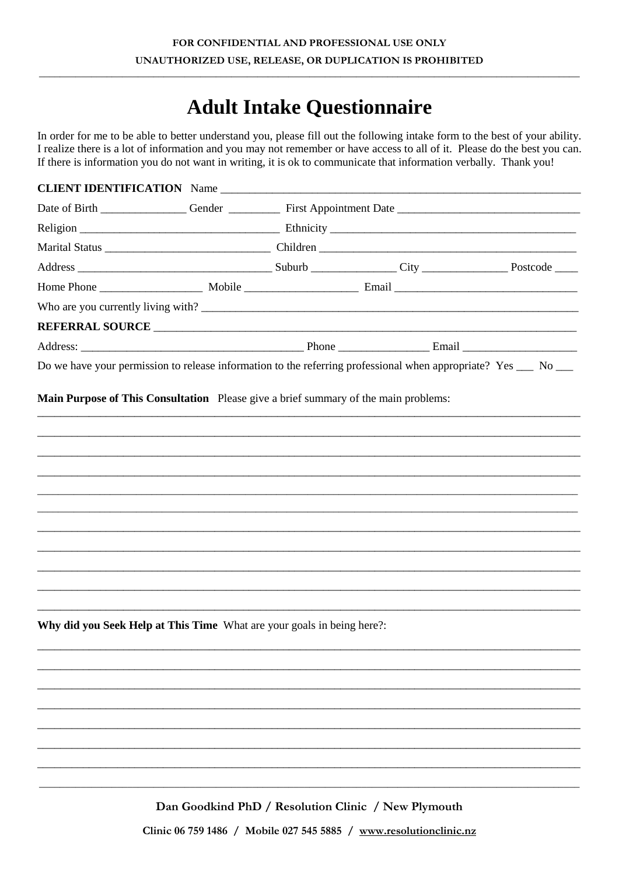## **Adult Intake Questionnaire**

In order for me to be able to better understand you, please fill out the following intake form to the best of your ability. I realize there is a lot of information and you may not remember or have access to all of it. Please do the best you can. If there is information you do not want in writing, it is ok to communicate that information verbally. Thank you!

| <b>Main Purpose of This Consultation</b> Please give a brief summary of the main problems: |  |  |
|--------------------------------------------------------------------------------------------|--|--|
|                                                                                            |  |  |
|                                                                                            |  |  |
|                                                                                            |  |  |
|                                                                                            |  |  |
|                                                                                            |  |  |
|                                                                                            |  |  |
|                                                                                            |  |  |
|                                                                                            |  |  |
|                                                                                            |  |  |
|                                                                                            |  |  |
|                                                                                            |  |  |
| Why did you Seek Help at This Time What are your goals in being here?:                     |  |  |
|                                                                                            |  |  |
|                                                                                            |  |  |
|                                                                                            |  |  |
|                                                                                            |  |  |
|                                                                                            |  |  |
|                                                                                            |  |  |

Dan Goodkind PhD / Resolution Clinic / New Plymouth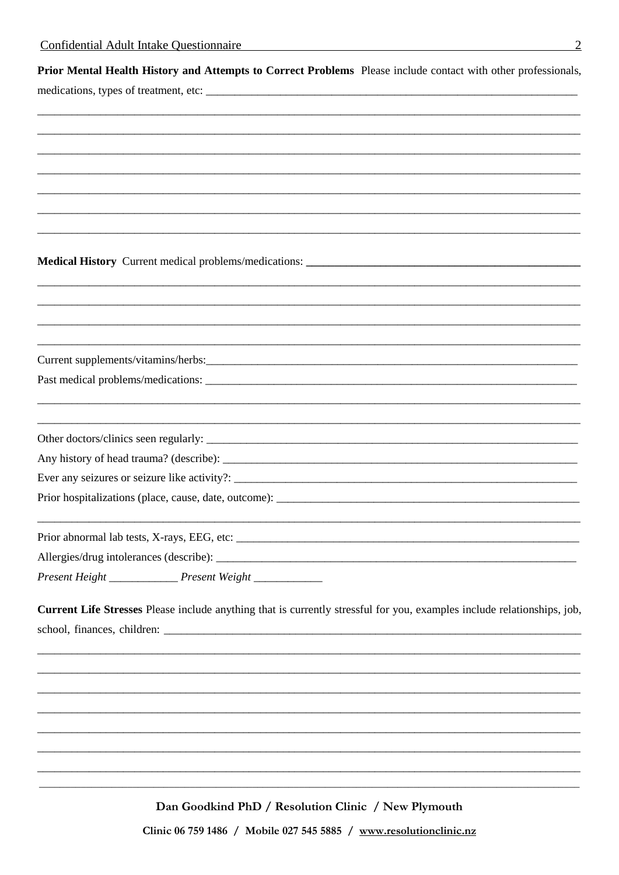medications, types of treatment, etc:

Prior Mental Health History and Attempts to Correct Problems Please include contact with other professionals,

Medical History Current medical problems/medications: \_\_\_\_\_\_\_\_\_\_\_\_\_\_\_\_\_\_\_\_\_\_\_\_\_\_\_

Current supplements/vitamins/herbs:

Past medical problems/medications:

Other doctors/clinics seen regularly: \_\_\_\_\_\_\_\_ 

Ever any seizures or seizure like activity?:

Prior hospitalizations (place, cause, date, outcome):

Present Height \_\_\_\_\_\_\_\_\_\_\_\_\_\_\_\_\_\_\_ Present Weight \_\_\_\_\_\_\_\_\_\_\_\_\_\_\_\_\_\_\_\_\_\_\_\_\_\_\_\_\_\_\_

**Current Life Stresses** Please include anything that is currently stressful for you, examples include relationships, job, school, finances, children: \_\_\_\_\_\_

Dan Goodkind PhD / Resolution Clinic / New Plymouth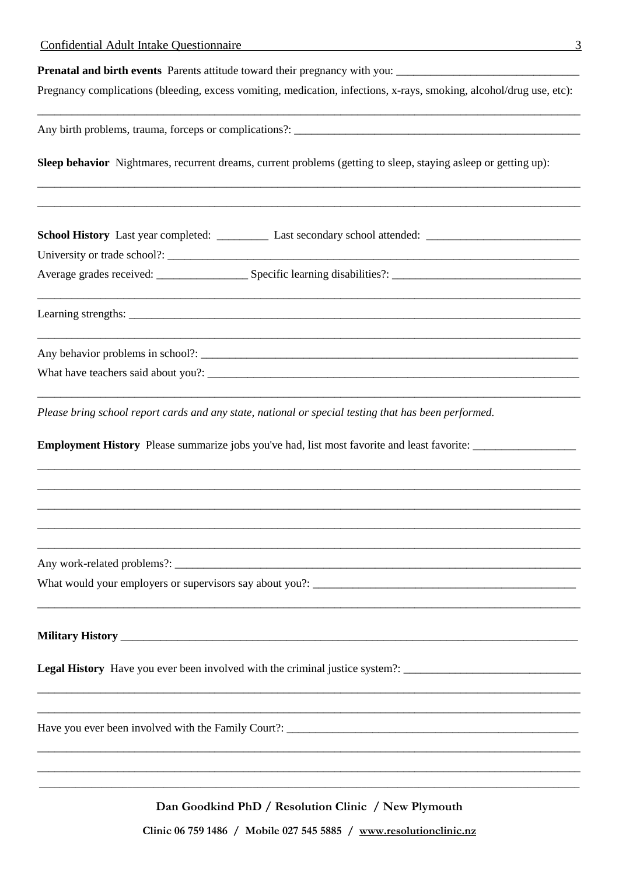| 3<br><b>Confidential Adult Intake Questionnaire</b>                                                                  |
|----------------------------------------------------------------------------------------------------------------------|
| Prenatal and birth events Parents attitude toward their pregnancy with you: __________________________________       |
| Pregnancy complications (bleeding, excess vomiting, medication, infections, x-rays, smoking, alcohol/drug use, etc): |
|                                                                                                                      |
| Sleep behavior Nightmares, recurrent dreams, current problems (getting to sleep, staying asleep or getting up):      |
| School History Last year completed: Last secondary school attended: Last secondary school attended:                  |
|                                                                                                                      |
|                                                                                                                      |
|                                                                                                                      |
|                                                                                                                      |
| Please bring school report cards and any state, national or special testing that has been performed.                 |
|                                                                                                                      |
|                                                                                                                      |
|                                                                                                                      |
|                                                                                                                      |
|                                                                                                                      |
| What would your employers or supervisors say about you?:                                                             |
|                                                                                                                      |
| Legal History Have you ever been involved with the criminal justice system?: _________________________________       |
|                                                                                                                      |
|                                                                                                                      |
|                                                                                                                      |
|                                                                                                                      |
|                                                                                                                      |

Dan Goodkind PhD / Resolution Clinic / New Plymouth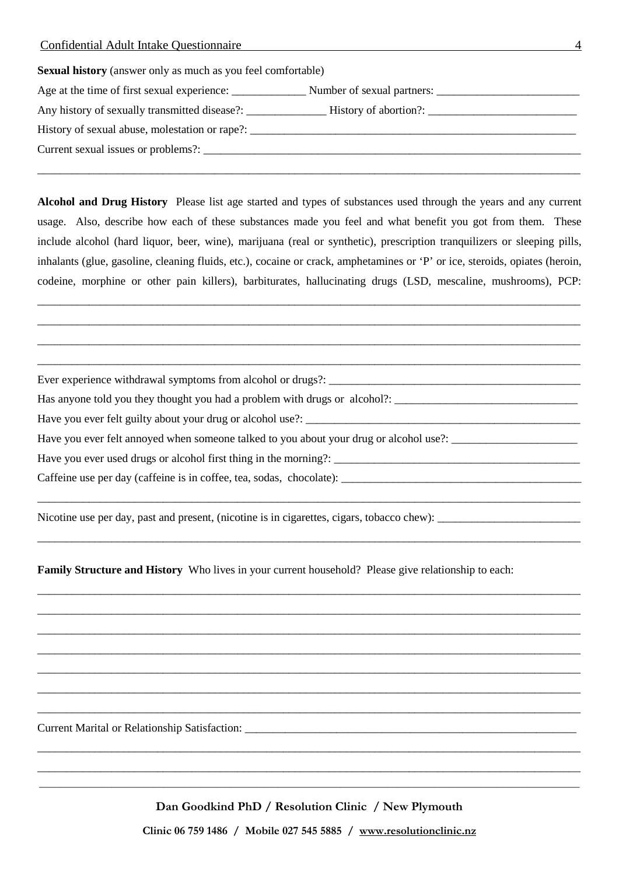| <b>Sexual history</b> (answer only as much as you feel comfortable)    |
|------------------------------------------------------------------------|
| Age at the time of first sexual experience: Number of sexual partners: |
| Any history of sexually transmitted disease?:                          |
|                                                                        |
|                                                                        |
|                                                                        |

**Alcohol and Drug History** Please list age started and types of substances used through the years and any current usage. Also, describe how each of these substances made you feel and what benefit you got from them. These include alcohol (hard liquor, beer, wine), marijuana (real or synthetic), prescription tranquilizers or sleeping pills, inhalants (glue, gasoline, cleaning fluids, etc.), cocaine or crack, amphetamines or 'P' or ice, steroids, opiates (heroin, codeine, morphine or other pain killers), barbiturates, hallucinating drugs (LSD, mescaline, mushrooms), PCP:

\_\_\_\_\_\_\_\_\_\_\_\_\_\_\_\_\_\_\_\_\_\_\_\_\_\_\_\_\_\_\_\_\_\_\_\_\_\_\_\_\_\_\_\_\_\_\_\_\_\_\_\_\_\_\_\_\_\_\_\_\_\_\_\_\_\_\_\_\_\_\_\_\_\_\_\_\_\_\_\_\_\_\_\_\_\_\_\_\_\_\_\_\_\_\_ \_\_\_\_\_\_\_\_\_\_\_\_\_\_\_\_\_\_\_\_\_\_\_\_\_\_\_\_\_\_\_\_\_\_\_\_\_\_\_\_\_\_\_\_\_\_\_\_\_\_\_\_\_\_\_\_\_\_\_\_\_\_\_\_\_\_\_\_\_\_\_\_\_\_\_\_\_\_\_\_\_\_\_\_\_\_\_\_\_\_\_\_\_\_\_ \_\_\_\_\_\_\_\_\_\_\_\_\_\_\_\_\_\_\_\_\_\_\_\_\_\_\_\_\_\_\_\_\_\_\_\_\_\_\_\_\_\_\_\_\_\_\_\_\_\_\_\_\_\_\_\_\_\_\_\_\_\_\_\_\_\_\_\_\_\_\_\_\_\_\_\_\_\_\_\_\_\_\_\_\_\_\_\_\_\_\_\_\_\_\_ \_\_\_\_\_\_\_\_\_\_\_\_\_\_\_\_\_\_\_\_\_\_\_\_\_\_\_\_\_\_\_\_\_\_\_\_\_\_\_\_\_\_\_\_\_\_\_\_\_\_\_\_\_\_\_\_\_\_\_\_\_\_\_\_\_\_\_\_\_\_\_\_\_\_\_\_\_\_\_\_\_\_\_\_\_\_\_\_\_\_\_\_\_\_\_

\_\_\_\_\_\_\_\_\_\_\_\_\_\_\_\_\_\_\_\_\_\_\_\_\_\_\_\_\_\_\_\_\_\_\_\_\_\_\_\_\_\_\_\_\_\_\_\_\_\_\_\_\_\_\_\_\_\_\_\_\_\_\_\_\_\_\_\_\_\_\_\_\_\_\_\_\_\_\_\_\_\_\_\_\_\_\_\_\_\_\_\_\_\_\_

\_\_\_\_\_\_\_\_\_\_\_\_\_\_\_\_\_\_\_\_\_\_\_\_\_\_\_\_\_\_\_\_\_\_\_\_\_\_\_\_\_\_\_\_\_\_\_\_\_\_\_\_\_\_\_\_\_\_\_\_\_\_\_\_\_\_\_\_\_\_\_\_\_\_\_\_\_\_\_\_\_\_\_\_\_\_\_\_\_\_\_\_\_\_\_

\_\_\_\_\_\_\_\_\_\_\_\_\_\_\_\_\_\_\_\_\_\_\_\_\_\_\_\_\_\_\_\_\_\_\_\_\_\_\_\_\_\_\_\_\_\_\_\_\_\_\_\_\_\_\_\_\_\_\_\_\_\_\_\_\_\_\_\_\_\_\_\_\_\_\_\_\_\_\_\_\_\_\_\_\_\_\_\_\_\_\_\_\_\_\_ \_\_\_\_\_\_\_\_\_\_\_\_\_\_\_\_\_\_\_\_\_\_\_\_\_\_\_\_\_\_\_\_\_\_\_\_\_\_\_\_\_\_\_\_\_\_\_\_\_\_\_\_\_\_\_\_\_\_\_\_\_\_\_\_\_\_\_\_\_\_\_\_\_\_\_\_\_\_\_\_\_\_\_\_\_\_\_\_\_\_\_\_\_\_\_ \_\_\_\_\_\_\_\_\_\_\_\_\_\_\_\_\_\_\_\_\_\_\_\_\_\_\_\_\_\_\_\_\_\_\_\_\_\_\_\_\_\_\_\_\_\_\_\_\_\_\_\_\_\_\_\_\_\_\_\_\_\_\_\_\_\_\_\_\_\_\_\_\_\_\_\_\_\_\_\_\_\_\_\_\_\_\_\_\_\_\_\_\_\_\_ \_\_\_\_\_\_\_\_\_\_\_\_\_\_\_\_\_\_\_\_\_\_\_\_\_\_\_\_\_\_\_\_\_\_\_\_\_\_\_\_\_\_\_\_\_\_\_\_\_\_\_\_\_\_\_\_\_\_\_\_\_\_\_\_\_\_\_\_\_\_\_\_\_\_\_\_\_\_\_\_\_\_\_\_\_\_\_\_\_\_\_\_\_\_\_ \_\_\_\_\_\_\_\_\_\_\_\_\_\_\_\_\_\_\_\_\_\_\_\_\_\_\_\_\_\_\_\_\_\_\_\_\_\_\_\_\_\_\_\_\_\_\_\_\_\_\_\_\_\_\_\_\_\_\_\_\_\_\_\_\_\_\_\_\_\_\_\_\_\_\_\_\_\_\_\_\_\_\_\_\_\_\_\_\_\_\_\_\_\_\_ \_\_\_\_\_\_\_\_\_\_\_\_\_\_\_\_\_\_\_\_\_\_\_\_\_\_\_\_\_\_\_\_\_\_\_\_\_\_\_\_\_\_\_\_\_\_\_\_\_\_\_\_\_\_\_\_\_\_\_\_\_\_\_\_\_\_\_\_\_\_\_\_\_\_\_\_\_\_\_\_\_\_\_\_\_\_\_\_\_\_\_\_\_\_\_ \_\_\_\_\_\_\_\_\_\_\_\_\_\_\_\_\_\_\_\_\_\_\_\_\_\_\_\_\_\_\_\_\_\_\_\_\_\_\_\_\_\_\_\_\_\_\_\_\_\_\_\_\_\_\_\_\_\_\_\_\_\_\_\_\_\_\_\_\_\_\_\_\_\_\_\_\_\_\_\_\_\_\_\_\_\_\_\_\_\_\_\_\_\_\_

\_\_\_\_\_\_\_\_\_\_\_\_\_\_\_\_\_\_\_\_\_\_\_\_\_\_\_\_\_\_\_\_\_\_\_\_\_\_\_\_\_\_\_\_\_\_\_\_\_\_\_\_\_\_\_\_\_\_\_\_\_\_\_\_\_\_\_\_\_\_\_\_\_\_\_\_\_\_\_\_\_\_\_\_\_\_\_\_\_\_\_\_\_\_\_

Ever experience withdrawal symptoms from alcohol or drugs?:

Has anyone told you they thought you had a problem with drugs or alcohol?:

Have you ever felt guilty about your drug or alcohol use?:

Have you ever felt annoyed when someone talked to you about your drug or alcohol use?: \_\_\_\_\_\_\_\_\_\_\_\_\_\_\_\_\_\_\_\_\_\_\_

Have you ever used drugs or alcohol first thing in the morning?: \_\_\_\_\_\_\_\_\_\_\_\_\_\_\_\_\_\_\_\_\_\_\_\_\_\_\_\_\_\_\_\_\_\_\_\_\_\_\_\_\_\_\_

Caffeine use per day (caffeine is in coffee, tea, sodas, chocolate):

Nicotine use per day, past and present, (nicotine is in cigarettes, cigars, tobacco chew):

**Family Structure and History** Who lives in your current household? Please give relationship to each:

Current Marital or Relationship Satisfaction: \_\_\_\_\_\_\_\_\_\_\_\_\_\_\_\_\_\_\_\_\_\_\_\_\_\_\_\_\_\_\_\_\_\_

**Dan Goodkind PhD / Resolution Clinic / New Plymouth**

 $\_$  , and the set of the set of the set of the set of the set of the set of the set of the set of the set of the set of the set of the set of the set of the set of the set of the set of the set of the set of the set of th

\_\_\_\_\_\_\_\_\_\_\_\_\_\_\_\_\_\_\_\_\_\_\_\_\_\_\_\_\_\_\_\_\_\_\_\_\_\_\_\_\_\_\_\_\_\_\_\_\_\_\_\_\_\_\_\_\_\_\_\_\_\_\_\_\_\_\_\_\_\_\_\_\_\_\_\_\_\_\_\_\_\_\_\_\_\_\_\_\_\_\_\_\_\_\_ \_\_\_\_\_\_\_\_\_\_\_\_\_\_\_\_\_\_\_\_\_\_\_\_\_\_\_\_\_\_\_\_\_\_\_\_\_\_\_\_\_\_\_\_\_\_\_\_\_\_\_\_\_\_\_\_\_\_\_\_\_\_\_\_\_\_\_\_\_\_\_\_\_\_\_\_\_\_\_\_\_\_\_\_\_\_\_\_\_\_\_\_\_\_\_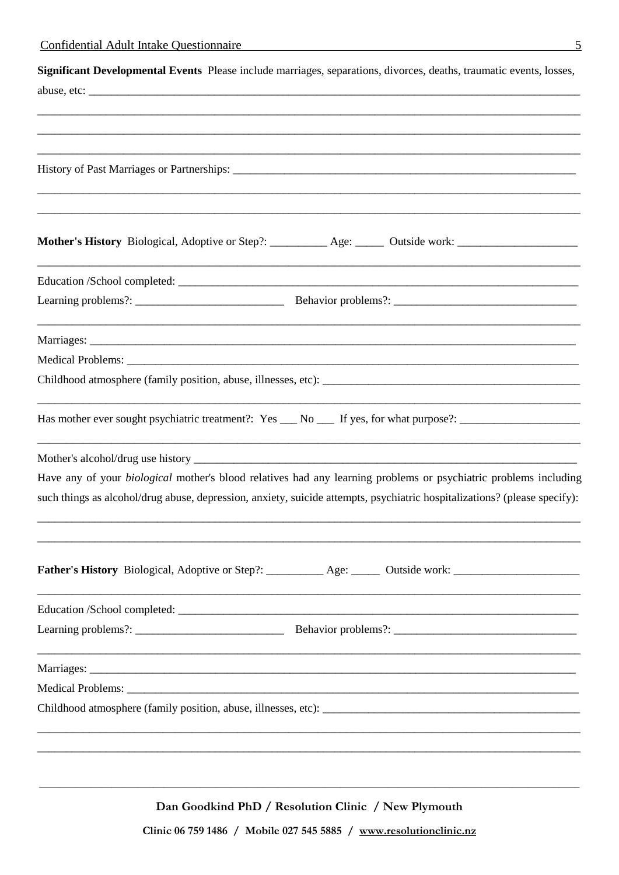| Significant Developmental Events Please include marriages, separations, divorces, deaths, traumatic events, losses,       |
|---------------------------------------------------------------------------------------------------------------------------|
|                                                                                                                           |
|                                                                                                                           |
|                                                                                                                           |
|                                                                                                                           |
|                                                                                                                           |
|                                                                                                                           |
|                                                                                                                           |
| Mother's History Biological, Adoptive or Step?: __________ Age: _____ Outside work: ________________                      |
|                                                                                                                           |
|                                                                                                                           |
|                                                                                                                           |
|                                                                                                                           |
|                                                                                                                           |
|                                                                                                                           |
| Has mother ever sought psychiatric treatment?: Yes __ No __ If yes, for what purpose?: _______________________            |
|                                                                                                                           |
| Have any of your <i>biological</i> mother's blood relatives had any learning problems or psychiatric problems including   |
| such things as alcohol/drug abuse, depression, anxiety, suicide attempts, psychiatric hospitalizations? (please specify): |
| Father's History Biological, Adoptive or Step?: _________ Age: _____ Outside work: _________________                      |
|                                                                                                                           |
|                                                                                                                           |
|                                                                                                                           |
|                                                                                                                           |
|                                                                                                                           |
|                                                                                                                           |
|                                                                                                                           |
|                                                                                                                           |
|                                                                                                                           |

Dan Goodkind PhD / Resolution Clinic / New Plymouth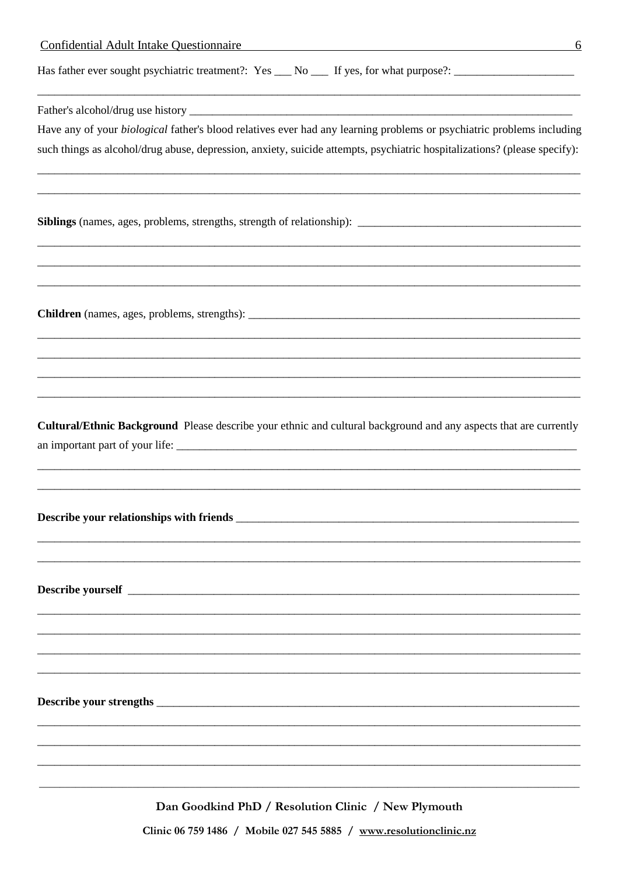Has father ever sought psychiatric treatment?: Yes \_\_ No \_\_ If yes, for what purpose?: \_\_\_\_\_\_\_\_\_\_\_\_\_\_\_\_\_\_\_\_\_\_\_

Father's alcohol/drug use history

Have any of your biological father's blood relatives ever had any learning problems or psychiatric problems including such things as alcohol/drug abuse, depression, anxiety, suicide attempts, psychiatric hospitalizations? (please specify):

Siblings (names, ages, problems, strengths, strength of relationship): \_\_\_\_\_\_\_\_\_\_\_\_\_\_\_\_\_\_\_\_\_\_\_\_\_\_\_\_\_

Cultural/Ethnic Background Please describe your ethnic and cultural background and any aspects that are currently an important part of your life:

Describe your relationships with friends **Solution Containers** and the second second second second second second second second second second second second second second second second second second second second second seco

Dan Goodkind PhD / Resolution Clinic / New Plymouth

Clinic 06 759 1486 / Mobile 027 545 5885 / www.resolutionclinic.nz

6